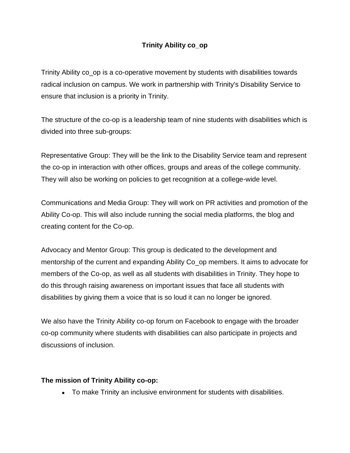## **Trinity Ability co\_op**

Trinity Ability co\_op is a co-operative movement by students with disabilities towards radical inclusion on campus. We work in partnership with Trinity's Disability Service to ensure that inclusion is a priority in Trinity.

The structure of the co-op is a leadership team of nine students with disabilities which is divided into three sub-groups:

Representative Group: They will be the link to the Disability Service team and represent the co-op in interaction with other offices, groups and areas of the college community. They will also be working on policies to get recognition at a college-wide level.

Communications and Media Group: They will work on PR activities and promotion of the Ability Co-op. This will also include running the social media platforms, the blog and creating content for the Co-op.

Advocacy and Mentor Group: This group is dedicated to the development and mentorship of the current and expanding Ability Co\_op members. It aims to advocate for members of the Co-op, as well as all students with disabilities in Trinity. They hope to do this through raising awareness on important issues that face all students with disabilities by giving them a voice that is so loud it can no longer be ignored.

We also have the Trinity Ability co-op forum on Facebook to engage with the broader co-op community where students with disabilities can also participate in projects and discussions of inclusion.

### **The mission of Trinity Ability co-op:**

• To make Trinity an inclusive environment for students with disabilities.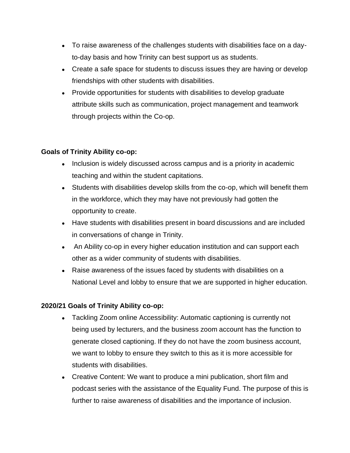- To raise awareness of the challenges students with disabilities face on a dayto-day basis and how Trinity can best support us as students.
- Create a safe space for students to discuss issues they are having or develop friendships with other students with disabilities.
- Provide opportunities for students with disabilities to develop graduate attribute skills such as communication, project management and teamwork through projects within the Co-op.

### **Goals of Trinity Ability co-op:**

- Inclusion is widely discussed across campus and is a priority in academic teaching and within the student capitations.
- Students with disabilities develop skills from the co-op, which will benefit them in the workforce, which they may have not previously had gotten the opportunity to create.
- Have students with disabilities present in board discussions and are included in conversations of change in Trinity.
- An Ability co-op in every higher education institution and can support each other as a wider community of students with disabilities.
- Raise awareness of the issues faced by students with disabilities on a National Level and lobby to ensure that we are supported in higher education.

# **2020/21 Goals of Trinity Ability co-op:**

- Tackling Zoom online Accessibility: Automatic captioning is currently not being used by lecturers, and the business zoom account has the function to generate closed captioning. If they do not have the zoom business account, we want to lobby to ensure they switch to this as it is more accessible for students with disabilities.
- Creative Content: We want to produce a mini publication, short film and podcast series with the assistance of the Equality Fund. The purpose of this is further to raise awareness of disabilities and the importance of inclusion.